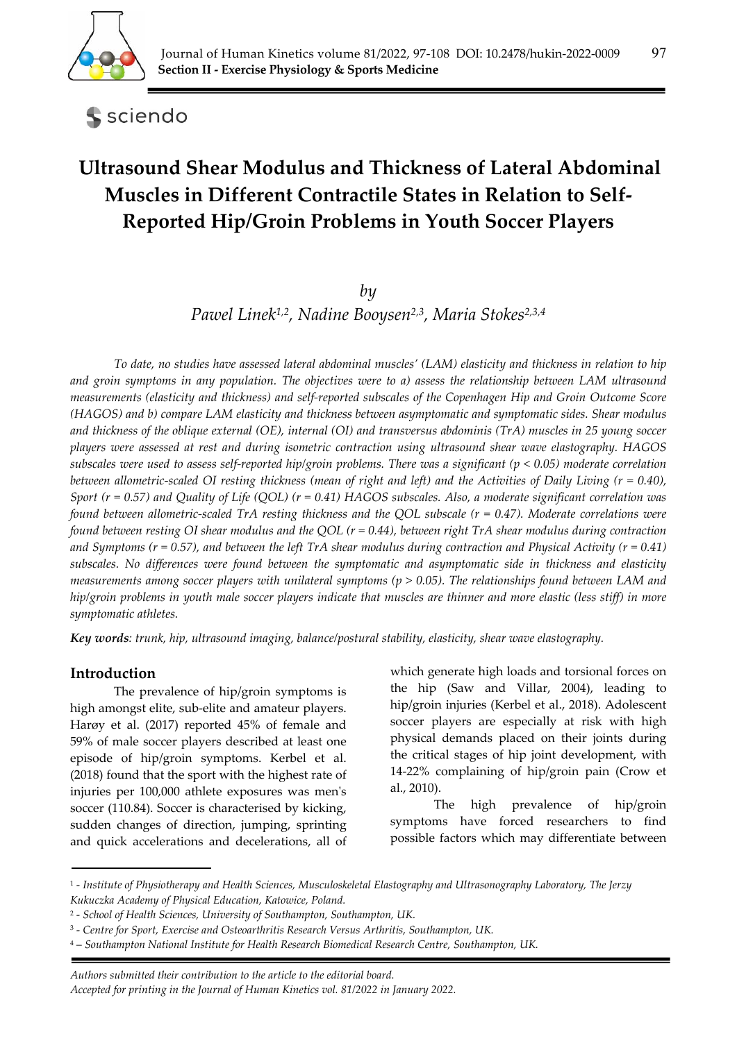

sciendo

# **Ultrasound Shear Modulus and Thickness of Lateral Abdominal Muscles in Different Contractile States in Relation to Self‐ Reported Hip/Groin Problems in Youth Soccer Players**

## *by*

*Pawel Linek1,2, Nadine Booysen2,3, Maria Stokes2,3,4*

*To date, no studies have assessed lateral abdominal muscles' (LAM) elasticity and thickness in relation to hip and groin symptoms in any population. The objectives were to a) assess the relationship between LAM ultrasound measurements (elasticity and thickness) and self-reported subscales of the Copenhagen Hip and Groin Outcome Score (HAGOS) and b) compare LAM elasticity and thickness between asymptomatic and symptomatic sides. Shear modulus and thickness of the oblique external (OE), internal (OI) and transversus abdominis (TrA) muscles in 25 young soccer players were assessed at rest and during isometric contraction using ultrasound shear wave elastography. HAGOS subscales were used to assess self-reported hip/groin problems. There was a significant (p < 0.05) moderate correlation between allometric-scaled OI resting thickness (mean of right and left) and the Activities of Daily Living (r = 0.40), Sport (r = 0.57) and Quality of Life (QOL) (r = 0.41) HAGOS subscales. Also, a moderate significant correlation was found between allometric-scaled TrA resting thickness and the QOL subscale (r = 0.47). Moderate correlations were found between resting OI shear modulus and the QOL (r = 0.44), between right TrA shear modulus during contraction and Symptoms (r = 0.57), and between the left TrA shear modulus during contraction and Physical Activity (r = 0.41) subscales. No differences were found between the symptomatic and asymptomatic side in thickness and elasticity measurements among soccer players with unilateral symptoms (p > 0.05). The relationships found between LAM and hip/groin problems in youth male soccer players indicate that muscles are thinner and more elastic (less stiff) in more symptomatic athletes.* 

*Key words: trunk, hip, ultrasound imaging, balance/postural stability, elasticity, shear wave elastography.* 

## **Introduction**

The prevalence of hip/groin symptoms is high amongst elite, sub-elite and amateur players. Harøy et al. (2017) reported 45% of female and 59% of male soccer players described at least one episode of hip/groin symptoms. Kerbel et al. (2018) found that the sport with the highest rate of injuries per 100,000 athlete exposures was men's soccer (110.84). Soccer is characterised by kicking, sudden changes of direction, jumping, sprinting and quick accelerations and decelerations, all of

which generate high loads and torsional forces on the hip (Saw and Villar, 2004), leading to hip/groin injuries (Kerbel et al., 2018). Adolescent soccer players are especially at risk with high physical demands placed on their joints during the critical stages of hip joint development, with 14-22% complaining of hip/groin pain (Crow et al., 2010).

The high prevalence of hip/groin symptoms have forced researchers to find possible factors which may differentiate between

*Authors submitted their contribution to the article to the editorial board.* 

<sup>1 -</sup> *Institute of Physiotherapy and Health Sciences, Musculoskeletal Elastography and Ultrasonography Laboratory, The Jerzy Kukuczka Academy of Physical Education, Katowice, Poland.* 

<sup>2 -</sup> *School of Health Sciences, University of Southampton, Southampton, UK.* 

<sup>3 -</sup> *Centre for Sport, Exercise and Osteoarthritis Research Versus Arthritis, Southampton, UK.* 

<sup>4 –</sup> *Southampton National Institute for Health Research Biomedical Research Centre, Southampton, UK.*

*Accepted for printing in the Journal of Human Kinetics vol. 81/2022 in January 2022.*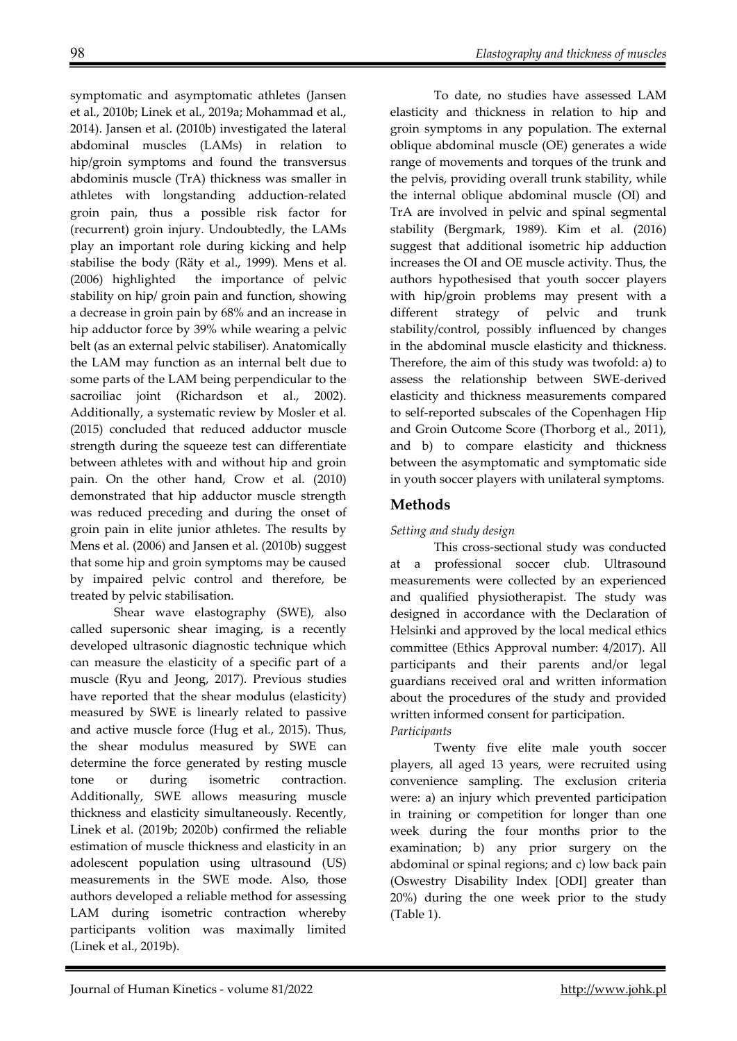symptomatic and asymptomatic athletes (Jansen et al., 2010b; Linek et al., 2019a; Mohammad et al., 2014). Jansen et al. (2010b) investigated the lateral abdominal muscles (LAMs) in relation to hip/groin symptoms and found the transversus abdominis muscle (TrA) thickness was smaller in athletes with longstanding adduction-related groin pain, thus a possible risk factor for (recurrent) groin injury. Undoubtedly, the LAMs play an important role during kicking and help stabilise the body (Räty et al., 1999). Mens et al. (2006) highlighted the importance of pelvic stability on hip/ groin pain and function, showing a decrease in groin pain by 68% and an increase in hip adductor force by 39% while wearing a pelvic belt (as an external pelvic stabiliser). Anatomically the LAM may function as an internal belt due to some parts of the LAM being perpendicular to the sacroiliac joint (Richardson et al., 2002). Additionally, a systematic review by Mosler et al. (2015) concluded that reduced adductor muscle strength during the squeeze test can differentiate between athletes with and without hip and groin pain. On the other hand, Crow et al. (2010) demonstrated that hip adductor muscle strength was reduced preceding and during the onset of groin pain in elite junior athletes. The results by Mens et al. (2006) and Jansen et al. (2010b) suggest that some hip and groin symptoms may be caused by impaired pelvic control and therefore, be treated by pelvic stabilisation.

Shear wave elastography (SWE), also called supersonic shear imaging, is a recently developed ultrasonic diagnostic technique which can measure the elasticity of a specific part of a muscle (Ryu and Jeong, 2017). Previous studies have reported that the shear modulus (elasticity) measured by SWE is linearly related to passive and active muscle force (Hug et al., 2015). Thus, the shear modulus measured by SWE can determine the force generated by resting muscle tone or during isometric contraction. Additionally, SWE allows measuring muscle thickness and elasticity simultaneously. Recently, Linek et al. (2019b; 2020b) confirmed the reliable estimation of muscle thickness and elasticity in an adolescent population using ultrasound (US) measurements in the SWE mode. Also, those authors developed a reliable method for assessing LAM during isometric contraction whereby participants volition was maximally limited (Linek et al., 2019b).

To date, no studies have assessed LAM elasticity and thickness in relation to hip and groin symptoms in any population. The external oblique abdominal muscle (OE) generates a wide range of movements and torques of the trunk and the pelvis, providing overall trunk stability, while the internal oblique abdominal muscle (OI) and TrA are involved in pelvic and spinal segmental stability (Bergmark, 1989). Kim et al. (2016) suggest that additional isometric hip adduction increases the OI and OE muscle activity. Thus, the authors hypothesised that youth soccer players with hip/groin problems may present with a different strategy of pelvic and trunk stability/control, possibly influenced by changes in the abdominal muscle elasticity and thickness. Therefore, the aim of this study was twofold: a) to assess the relationship between SWE-derived elasticity and thickness measurements compared to self-reported subscales of the Copenhagen Hip and Groin Outcome Score (Thorborg et al., 2011), and b) to compare elasticity and thickness between the asymptomatic and symptomatic side in youth soccer players with unilateral symptoms.

# **Methods**

## *Setting and study design*

This cross-sectional study was conducted at a professional soccer club. Ultrasound measurements were collected by an experienced and qualified physiotherapist. The study was designed in accordance with the Declaration of Helsinki and approved by the local medical ethics committee (Ethics Approval number: 4/2017). All participants and their parents and/or legal guardians received oral and written information about the procedures of the study and provided written informed consent for participation. *Participants* 

Twenty five elite male youth soccer players, all aged 13 years, were recruited using convenience sampling. The exclusion criteria were: a) an injury which prevented participation in training or competition for longer than one week during the four months prior to the examination; b) any prior surgery on the abdominal or spinal regions; and c) low back pain (Oswestry Disability Index [ODI] greater than 20%) during the one week prior to the study (Table 1).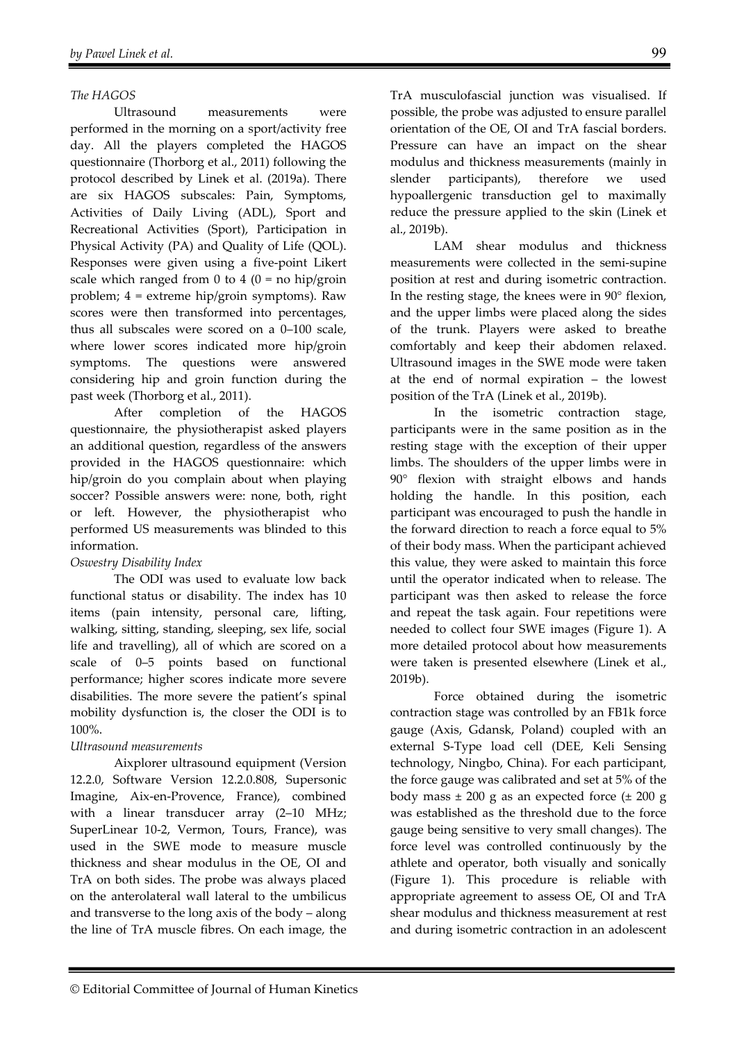### *The HAGOS*

Ultrasound measurements were performed in the morning on a sport/activity free day. All the players completed the HAGOS questionnaire (Thorborg et al., 2011) following the protocol described by Linek et al. (2019a). There are six HAGOS subscales: Pain, Symptoms, Activities of Daily Living (ADL), Sport and Recreational Activities (Sport), Participation in Physical Activity (PA) and Quality of Life (QOL). Responses were given using a five-point Likert scale which ranged from 0 to 4 ( $0 =$  no hip/groin problem; 4 = extreme hip/groin symptoms). Raw scores were then transformed into percentages, thus all subscales were scored on a 0–100 scale, where lower scores indicated more hip/groin symptoms. The questions were answered considering hip and groin function during the past week (Thorborg et al., 2011).

After completion of the HAGOS questionnaire, the physiotherapist asked players an additional question, regardless of the answers provided in the HAGOS questionnaire: which hip/groin do you complain about when playing soccer? Possible answers were: none, both, right or left. However, the physiotherapist who performed US measurements was blinded to this information.

#### *Oswestry Disability Index*

The ODI was used to evaluate low back functional status or disability. The index has 10 items (pain intensity, personal care, lifting, walking, sitting, standing, sleeping, sex life, social life and travelling), all of which are scored on a scale of 0–5 points based on functional performance; higher scores indicate more severe disabilities. The more severe the patient's spinal mobility dysfunction is, the closer the ODI is to 100%.

#### *Ultrasound measurements*

Aixplorer ultrasound equipment (Version 12.2.0, Software Version 12.2.0.808, Supersonic Imagine, Aix-en-Provence, France), combined with a linear transducer array (2–10 MHz; SuperLinear 10-2, Vermon, Tours, France), was used in the SWE mode to measure muscle thickness and shear modulus in the OE, OI and TrA on both sides. The probe was always placed on the anterolateral wall lateral to the umbilicus and transverse to the long axis of the body – along the line of TrA muscle fibres. On each image, the TrA musculofascial junction was visualised. If possible, the probe was adjusted to ensure parallel orientation of the OE, OI and TrA fascial borders. Pressure can have an impact on the shear modulus and thickness measurements (mainly in slender participants), therefore we used hypoallergenic transduction gel to maximally reduce the pressure applied to the skin (Linek et al., 2019b).

LAM shear modulus and thickness measurements were collected in the semi-supine position at rest and during isometric contraction. In the resting stage, the knees were in 90° flexion, and the upper limbs were placed along the sides of the trunk. Players were asked to breathe comfortably and keep their abdomen relaxed. Ultrasound images in the SWE mode were taken at the end of normal expiration – the lowest position of the TrA (Linek et al., 2019b).

In the isometric contraction stage, participants were in the same position as in the resting stage with the exception of their upper limbs. The shoulders of the upper limbs were in 90° flexion with straight elbows and hands holding the handle. In this position, each participant was encouraged to push the handle in the forward direction to reach a force equal to 5% of their body mass. When the participant achieved this value, they were asked to maintain this force until the operator indicated when to release. The participant was then asked to release the force and repeat the task again. Four repetitions were needed to collect four SWE images (Figure 1). A more detailed protocol about how measurements were taken is presented elsewhere (Linek et al., 2019b).

Force obtained during the isometric contraction stage was controlled by an FB1k force gauge (Axis, Gdansk, Poland) coupled with an external S-Type load cell (DEE, Keli Sensing technology, Ningbo, China). For each participant, the force gauge was calibrated and set at 5% of the body mass  $\pm 200$  g as an expected force  $(\pm 200)$  g was established as the threshold due to the force gauge being sensitive to very small changes). The force level was controlled continuously by the athlete and operator, both visually and sonically (Figure 1). This procedure is reliable with appropriate agreement to assess OE, OI and TrA shear modulus and thickness measurement at rest and during isometric contraction in an adolescent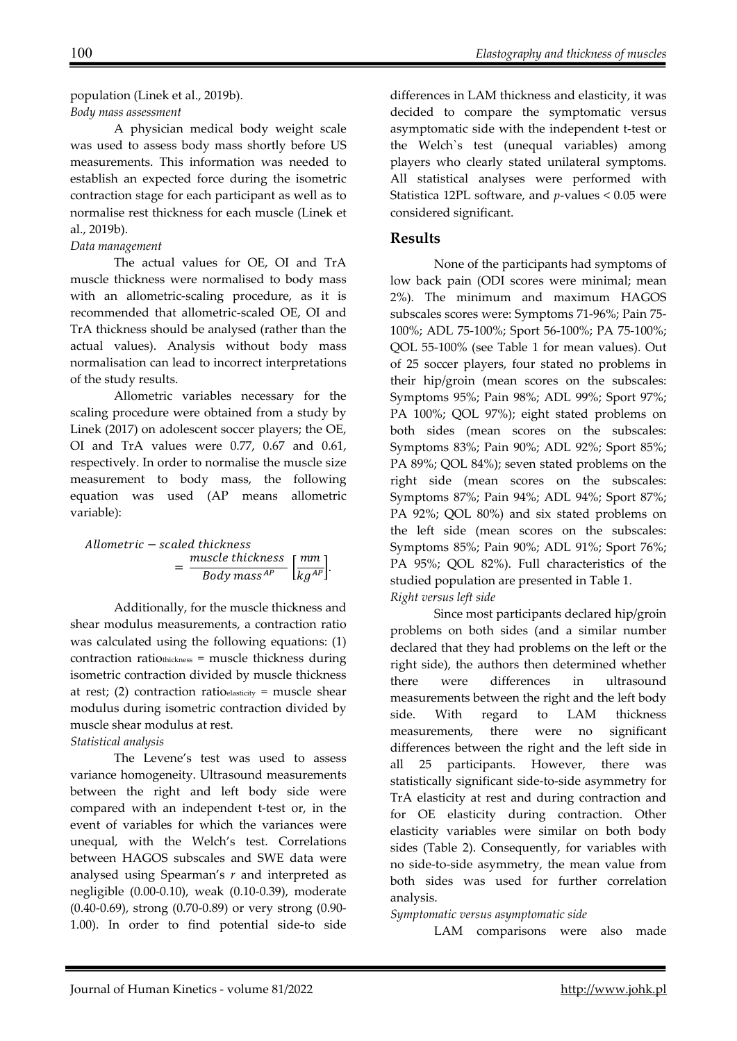#### population (Linek et al., 2019b). *Body mass assessment*

A physician medical body weight scale was used to assess body mass shortly before US measurements. This information was needed to establish an expected force during the isometric contraction stage for each participant as well as to normalise rest thickness for each muscle (Linek et al., 2019b).

#### *Data management*

The actual values for OE, OI and TrA muscle thickness were normalised to body mass with an allometric-scaling procedure, as it is recommended that allometric-scaled OE, OI and TrA thickness should be analysed (rather than the actual values). Analysis without body mass normalisation can lead to incorrect interpretations of the study results.

Allometric variables necessary for the scaling procedure were obtained from a study by Linek (2017) on adolescent soccer players; the OE, OI and TrA values were 0.77, 0.67 and 0.61, respectively. In order to normalise the muscle size measurement to body mass, the following equation was used (AP means allometric variable):

Allometric − scaled thickness  $=\frac{muscle\text{ thickness}}{Body\text{ mass}^{AP}}\left[\frac{mm}{kg^{AP}}\right].$ 

Additionally, for the muscle thickness and shear modulus measurements, a contraction ratio was calculated using the following equations: (1) contraction ratiothickness = muscle thickness during isometric contraction divided by muscle thickness at rest; (2) contraction ratioelasticity = muscle shear modulus during isometric contraction divided by muscle shear modulus at rest.

#### *Statistical analysis*

The Levene's test was used to assess variance homogeneity. Ultrasound measurements between the right and left body side were compared with an independent t-test or, in the event of variables for which the variances were unequal, with the Welch's test. Correlations between HAGOS subscales and SWE data were analysed using Spearman's *r* and interpreted as negligible (0.00-0.10), weak (0.10-0.39), moderate (0.40-0.69), strong (0.70-0.89) or very strong (0.90- 1.00). In order to find potential side-to side

differences in LAM thickness and elasticity, it was decided to compare the symptomatic versus asymptomatic side with the independent t-test or the Welch`s test (unequal variables) among players who clearly stated unilateral symptoms. All statistical analyses were performed with Statistica 12PL software, and *p*-values < 0.05 were considered significant.

## **Results**

None of the participants had symptoms of low back pain (ODI scores were minimal; mean 2%). The minimum and maximum HAGOS subscales scores were: Symptoms 71-96%; Pain 75- 100%; ADL 75-100%; Sport 56-100%; PA 75-100%; QOL 55-100% (see Table 1 for mean values). Out of 25 soccer players, four stated no problems in their hip/groin (mean scores on the subscales: Symptoms 95%; Pain 98%; ADL 99%; Sport 97%; PA 100%; QOL 97%); eight stated problems on both sides (mean scores on the subscales: Symptoms 83%; Pain 90%; ADL 92%; Sport 85%; PA 89%; QOL 84%); seven stated problems on the right side (mean scores on the subscales: Symptoms 87%; Pain 94%; ADL 94%; Sport 87%; PA 92%; QOL 80%) and six stated problems on the left side (mean scores on the subscales: Symptoms 85%; Pain 90%; ADL 91%; Sport 76%; PA 95%; QOL 82%). Full characteristics of the studied population are presented in Table 1. *Right versus left side* 

Since most participants declared hip/groin problems on both sides (and a similar number declared that they had problems on the left or the right side), the authors then determined whether there were differences in ultrasound measurements between the right and the left body side. With regard to LAM thickness measurements, there were no significant differences between the right and the left side in all 25 participants. However, there was statistically significant side-to-side asymmetry for TrA elasticity at rest and during contraction and for OE elasticity during contraction. Other elasticity variables were similar on both body sides (Table 2). Consequently, for variables with no side-to-side asymmetry, the mean value from both sides was used for further correlation analysis.

#### *Symptomatic versus asymptomatic side*

LAM comparisons were also made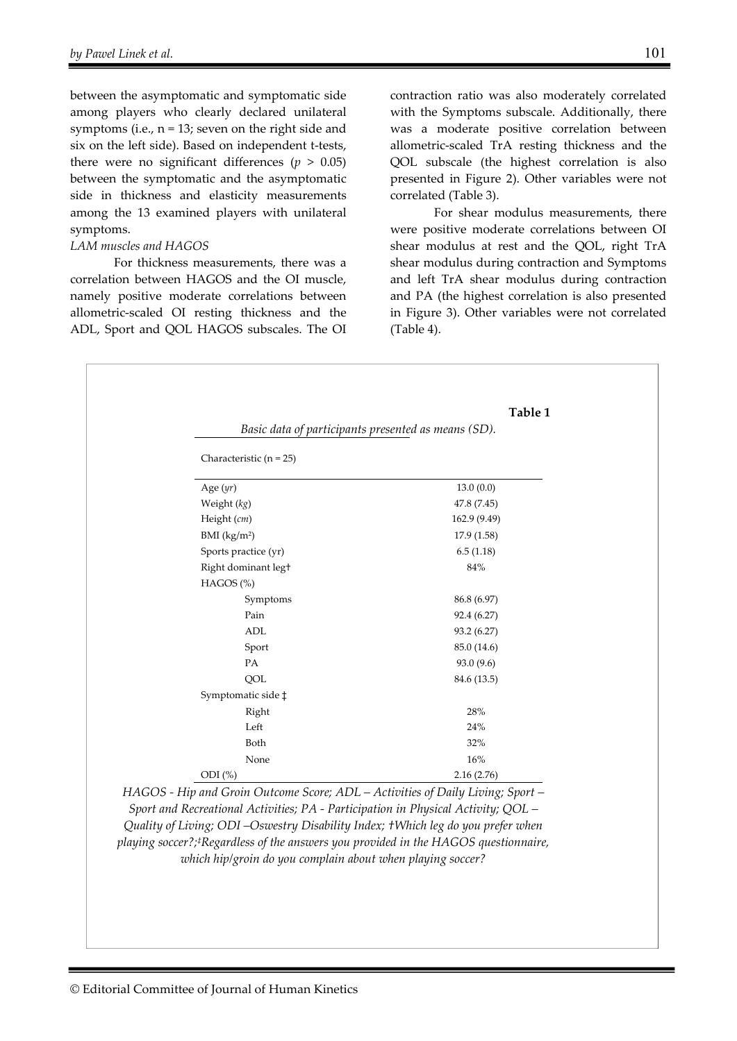between the asymptomatic and symptomatic side among players who clearly declared unilateral symptoms (i.e.,  $n = 13$ ; seven on the right side and six on the left side). Based on independent t-tests, there were no significant differences ( $p > 0.05$ ) between the symptomatic and the asymptomatic side in thickness and elasticity measurements among the 13 examined players with unilateral symptoms.

#### *LAM muscles and HAGOS*

For thickness measurements, there was a correlation between HAGOS and the OI muscle, namely positive moderate correlations between allometric-scaled OI resting thickness and the ADL, Sport and QOL HAGOS subscales. The OI

contraction ratio was also moderately correlated with the Symptoms subscale. Additionally, there was a moderate positive correlation between allometric-scaled TrA resting thickness and the QOL subscale (the highest correlation is also presented in Figure 2). Other variables were not correlated (Table 3).

 For shear modulus measurements, there were positive moderate correlations between OI shear modulus at rest and the QOL, right TrA shear modulus during contraction and Symptoms and left TrA shear modulus during contraction and PA (the highest correlation is also presented in Figure 3). Other variables were not correlated (Table 4).

|                           | Table 1                                             |
|---------------------------|-----------------------------------------------------|
|                           | Basic data of participants presented as means (SD). |
| Characteristic $(n = 25)$ |                                                     |
| Age $(yr)$                | 13.0(0.0)                                           |
| Weight (kg)               | 47.8 (7.45)                                         |
| Height (cm)               | 162.9 (9.49)                                        |
| BMI (kg/m <sup>2</sup> )  | 17.9(1.58)                                          |
| Sports practice (yr)      | 6.5(1.18)                                           |
| Right dominant legt       | 84%                                                 |
| $HAGOS$ $%$               |                                                     |
| Symptoms                  | 86.8 (6.97)                                         |
| Pain                      | 92.4 (6.27)                                         |
| ADL                       | 93.2 (6.27)                                         |
| Sport                     | 85.0 (14.6)                                         |
| PA                        | 93.0 (9.6)                                          |
| QOL                       | 84.6 (13.5)                                         |
| Symptomatic side ‡        |                                                     |
| Right                     | 28%                                                 |
| Left                      | 24%                                                 |
| Both                      | 32%                                                 |
| None                      | 16%                                                 |
| ODI (%)                   | 2.16(2.76)                                          |

*playing soccer?;‡Regardless of the answers you provided in the HAGOS questionnaire, which hip/groin do you complain about when playing soccer?*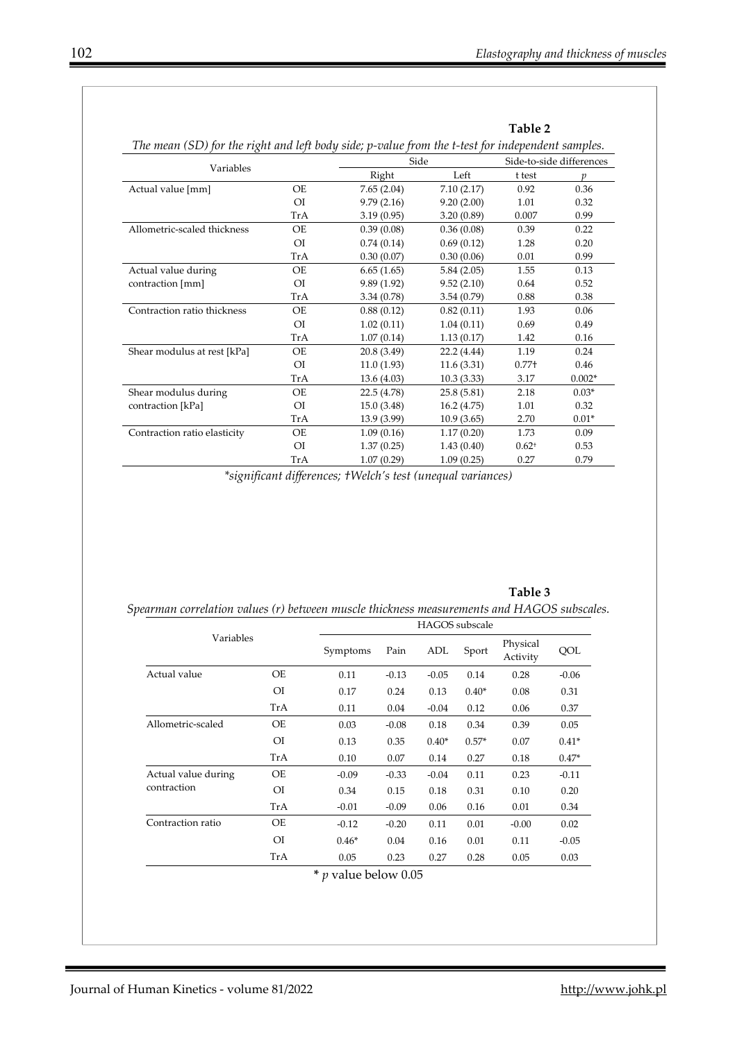**Table 2** 

| Variables                    |                | Side        |             | Side-to-side differences |          |  |
|------------------------------|----------------|-------------|-------------|--------------------------|----------|--|
|                              |                | Right       | Left        | t test                   | p        |  |
| Actual value [mm]            | OE             | 7.65(2.04)  | 7.10(2.17)  | 0.92                     | 0.36     |  |
|                              | O <sub>I</sub> | 9.79(2.16)  | 9.20(2.00)  | 1.01                     | 0.32     |  |
|                              | TrA            | 3.19(0.95)  | 3.20(0.89)  | 0.007                    | 0.99     |  |
| Allometric-scaled thickness  | OE             | 0.39(0.08)  | 0.36(0.08)  | 0.39                     | 0.22     |  |
|                              | O <sub>I</sub> | 0.74(0.14)  | 0.69(0.12)  | 1.28                     | 0.20     |  |
|                              | TrA            | 0.30(0.07)  | 0.30(0.06)  | 0.01                     | 0.99     |  |
| Actual value during          | <b>OE</b>      | 6.65(1.65)  | 5.84(2.05)  | 1.55                     | 0.13     |  |
| contraction [mm]             | O <sub>I</sub> | 9.89(1.92)  | 9.52(2.10)  | 0.64                     | 0.52     |  |
|                              | TrA            | 3.34(0.78)  | 3.54(0.79)  | 0.88                     | 0.38     |  |
| Contraction ratio thickness  | OE             | 0.88(0.12)  | 0.82(0.11)  | 1.93                     | 0.06     |  |
|                              | OI             | 1.02(0.11)  | 1.04(0.11)  | 0.69                     | 0.49     |  |
|                              | TrA            | 1.07(0.14)  | 1.13(0.17)  | 1.42                     | 0.16     |  |
| Shear modulus at rest [kPa]  | OE             | 20.8 (3.49) | 22.2 (4.44) | 1.19                     | 0.24     |  |
|                              | O <sub>I</sub> | 11.0(1.93)  | 11.6(3.31)  | $0.77 +$                 | 0.46     |  |
|                              | TrA            | 13.6(4.03)  | 10.3(3.33)  | 3.17                     | $0.002*$ |  |
| Shear modulus during         | OE             | 22.5 (4.78) | 25.8(5.81)  | 2.18                     | $0.03*$  |  |
| contraction [kPa]            | O <sub>I</sub> | 15.0(3.48)  | 16.2(4.75)  | 1.01                     | 0.32     |  |
|                              | TrA            | 13.9 (3.99) | 10.9(3.65)  | 2.70                     | $0.01*$  |  |
| Contraction ratio elasticity | OE             | 1.09(0.16)  | 1.17(0.20)  | 1.73                     | 0.09     |  |
|                              | O <sub>I</sub> | 1.37(0.25)  | 1.43(0.40)  | $0.62^{+}$               | 0.53     |  |
|                              | TrA            | 1.07(0.29)  | 1.09(0.25)  | 0.27                     | 0.79     |  |

*\*significant differences; †Welch's test (unequal variances)* 

|                                    |                | <b>HAGOS</b> subscale |         |         |         |                      |         |
|------------------------------------|----------------|-----------------------|---------|---------|---------|----------------------|---------|
| Variables                          |                | Symptoms              | Pain    | ADL     | Sport   | Physical<br>Activity | QOL     |
| Actual value                       | OE             | 0.11                  | $-0.13$ | $-0.05$ | 0.14    | 0.28                 | $-0.06$ |
|                                    | O <sub>I</sub> | 0.17                  | 0.24    | 0.13    | $0.40*$ | 0.08                 | 0.31    |
|                                    | TrA            | 0.11                  | 0.04    | $-0.04$ | 0.12    | 0.06                 | 0.37    |
| Allometric-scaled                  | OE             | 0.03                  | $-0.08$ | 0.18    | 0.34    | 0.39                 | 0.05    |
|                                    | O <sub>I</sub> | 0.13                  | 0.35    | $0.40*$ | $0.57*$ | 0.07                 | $0.41*$ |
|                                    | TrA            | 0.10                  | 0.07    | 0.14    | 0.27    | 0.18                 | $0.47*$ |
| Actual value during<br>contraction | OE             | $-0.09$               | $-0.33$ | $-0.04$ | 0.11    | 0.23                 | $-0.11$ |
|                                    | O <sub>I</sub> | 0.34                  | 0.15    | 0.18    | 0.31    | 0.10                 | 0.20    |
|                                    | TrA            | $-0.01$               | $-0.09$ | 0.06    | 0.16    | 0.01                 | 0.34    |
| Contraction ratio                  | <b>OE</b>      | $-0.12$               | $-0.20$ | 0.11    | 0.01    | $-0.00$              | 0.02    |
|                                    | O <sub>I</sub> | $0.46*$               | 0.04    | 0.16    | 0.01    | 0.11                 | $-0.05$ |
|                                    | TrA            | 0.05                  | 0.23    | 0.27    | 0.28    | 0.05                 | 0.03    |

**Table 3** *Spearman correlation values (r) between muscle thickness measurements and HAGOS subscales.*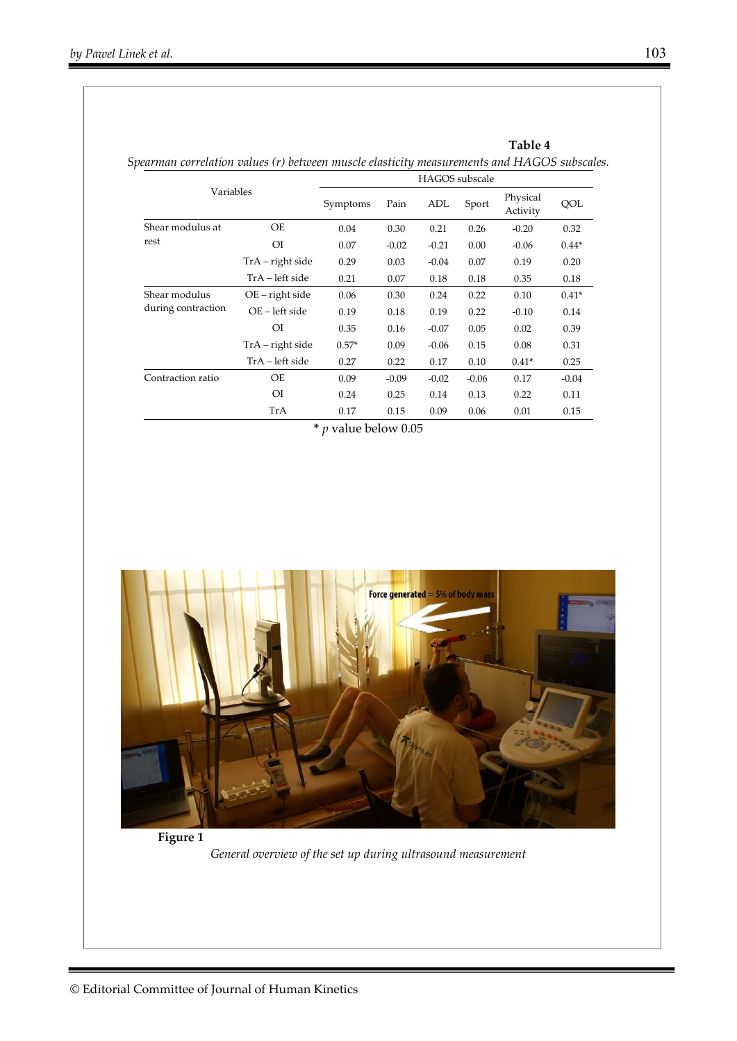|                    | <b>HAGOS</b> subscale |          |         |         |         |                      |         |
|--------------------|-----------------------|----------|---------|---------|---------|----------------------|---------|
| Variables          |                       | Symptoms | Pain    | ADL     | Sport   | Physical<br>Activity | QOL     |
| Shear modulus at   | OE                    | 0.04     | 0.30    | 0.21    | 0.26    | $-0.20$              | 0.32    |
| rest               | $O$ I                 | 0.07     | $-0.02$ | $-0.21$ | 0.00    | $-0.06$              | $0.44*$ |
|                    | $TrA$ – right side    | 0.29     | 0.03    | $-0.04$ | 0.07    | 0.19                 | 0.20    |
|                    | TrA – left side       | 0.21     | 0.07    | 0.18    | 0.18    | 0.35                 | 0.18    |
| Shear modulus      | OE – right side       | 0.06     | 0.30    | 0.24    | 0.22    | 0.10                 | $0.41*$ |
| during contraction | OE - left side        | 0.19     | 0.18    | 0.19    | 0.22    | $-0.10$              | 0.14    |
|                    | ΟI                    | 0.35     | 0.16    | $-0.07$ | 0.05    | 0.02                 | 0.39    |
|                    | $TrA$ – right side    | $0.57*$  | 0.09    | $-0.06$ | 0.15    | 0.08                 | 0.31    |
|                    | TrA – left side       | 0.27     | 0.22    | 0.17    | 0.10    | $0.41*$              | 0.25    |
| Contraction ratio  | OE                    | 0.09     | $-0.09$ | $-0.02$ | $-0.06$ | 0.17                 | $-0.04$ |
|                    | O <sub>I</sub>        | 0.24     | 0.25    | 0.14    | 0.13    | 0.22                 | 0.11    |
|                    | TrA                   | 0.17     | 0.15    | 0.09    | 0.06    | 0.01                 | 0.15    |

**\*** *p* value below 0.05



**Figure 1** 

*General overview of the set up during ultrasound measurement* 

**Table 4**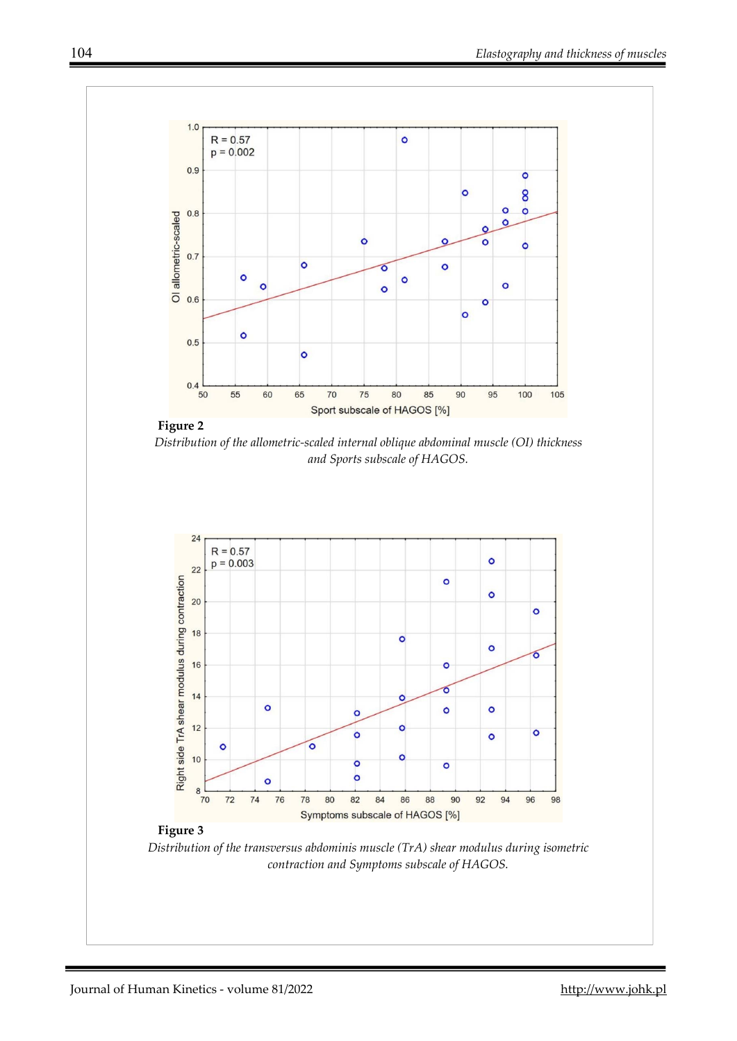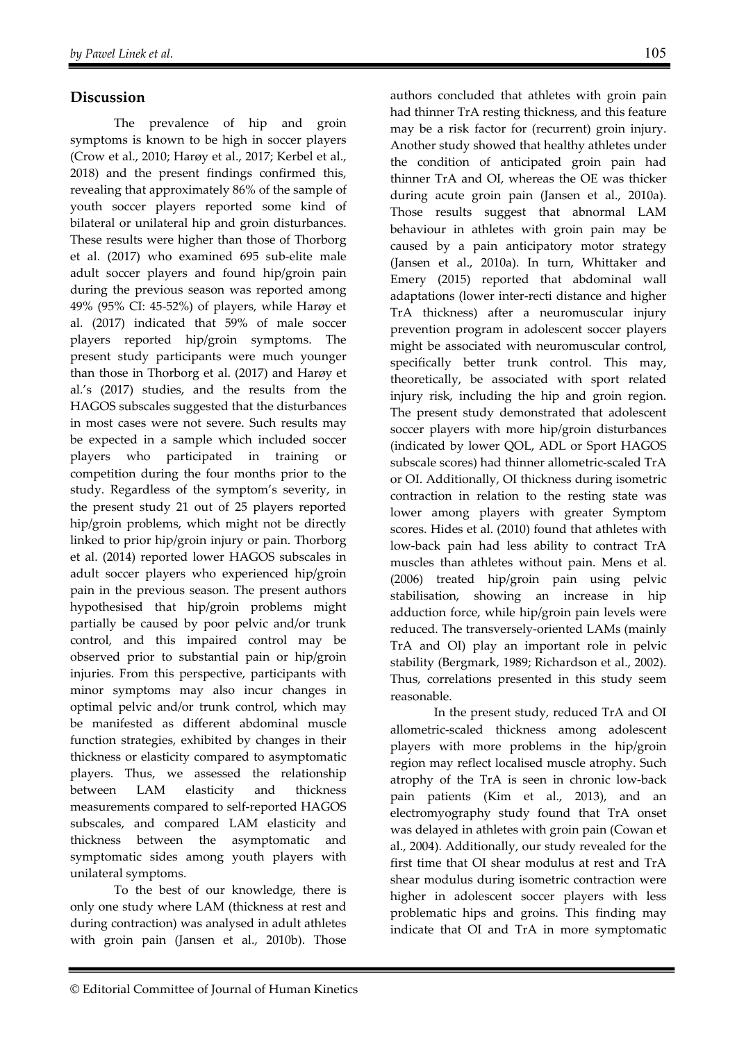## **Discussion**

The prevalence of hip and groin symptoms is known to be high in soccer players (Crow et al., 2010; Harøy et al., 2017; Kerbel et al., 2018) and the present findings confirmed this, revealing that approximately 86% of the sample of youth soccer players reported some kind of bilateral or unilateral hip and groin disturbances. These results were higher than those of Thorborg et al. (2017) who examined 695 sub-elite male adult soccer players and found hip/groin pain during the previous season was reported among 49% (95% CI: 45-52%) of players, while Harøy et al. (2017) indicated that 59% of male soccer players reported hip/groin symptoms. The present study participants were much younger than those in Thorborg et al. (2017) and Harøy et al.'s (2017) studies, and the results from the HAGOS subscales suggested that the disturbances in most cases were not severe. Such results may be expected in a sample which included soccer players who participated in training competition during the four months prior to the study. Regardless of the symptom's severity, in the present study 21 out of 25 players reported hip/groin problems, which might not be directly linked to prior hip/groin injury or pain. Thorborg et al. (2014) reported lower HAGOS subscales in adult soccer players who experienced hip/groin pain in the previous season. The present authors hypothesised that hip/groin problems might partially be caused by poor pelvic and/or trunk control, and this impaired control may be observed prior to substantial pain or hip/groin injuries. From this perspective, participants with minor symptoms may also incur changes in optimal pelvic and/or trunk control, which may be manifested as different abdominal muscle function strategies, exhibited by changes in their thickness or elasticity compared to asymptomatic players. Thus, we assessed the relationship between LAM elasticity and thickness measurements compared to self-reported HAGOS subscales, and compared LAM elasticity and thickness between the asymptomatic and symptomatic sides among youth players with unilateral symptoms.

To the best of our knowledge, there is only one study where LAM (thickness at rest and during contraction) was analysed in adult athletes with groin pain (Jansen et al., 2010b). Those

authors concluded that athletes with groin pain had thinner TrA resting thickness, and this feature may be a risk factor for (recurrent) groin injury. Another study showed that healthy athletes under the condition of anticipated groin pain had thinner TrA and OI, whereas the OE was thicker during acute groin pain (Jansen et al., 2010a). Those results suggest that abnormal LAM behaviour in athletes with groin pain may be caused by a pain anticipatory motor strategy (Jansen et al., 2010a). In turn, Whittaker and Emery (2015) reported that abdominal wall adaptations (lower inter-recti distance and higher TrA thickness) after a neuromuscular injury prevention program in adolescent soccer players might be associated with neuromuscular control, specifically better trunk control. This may, theoretically, be associated with sport related injury risk, including the hip and groin region. The present study demonstrated that adolescent soccer players with more hip/groin disturbances (indicated by lower QOL, ADL or Sport HAGOS subscale scores) had thinner allometric-scaled TrA or OI. Additionally, OI thickness during isometric contraction in relation to the resting state was lower among players with greater Symptom scores. Hides et al. (2010) found that athletes with low-back pain had less ability to contract TrA muscles than athletes without pain. Mens et al. (2006) treated hip/groin pain using pelvic stabilisation, showing an increase in hip adduction force, while hip/groin pain levels were reduced. The transversely-oriented LAMs (mainly TrA and OI) play an important role in pelvic stability (Bergmark, 1989; Richardson et al., 2002). Thus, correlations presented in this study seem reasonable.

In the present study, reduced TrA and OI allometric-scaled thickness among adolescent players with more problems in the hip/groin region may reflect localised muscle atrophy. Such atrophy of the TrA is seen in chronic low-back pain patients (Kim et al., 2013), and an electromyography study found that TrA onset was delayed in athletes with groin pain (Cowan et al., 2004). Additionally, our study revealed for the first time that OI shear modulus at rest and TrA shear modulus during isometric contraction were higher in adolescent soccer players with less problematic hips and groins. This finding may indicate that OI and TrA in more symptomatic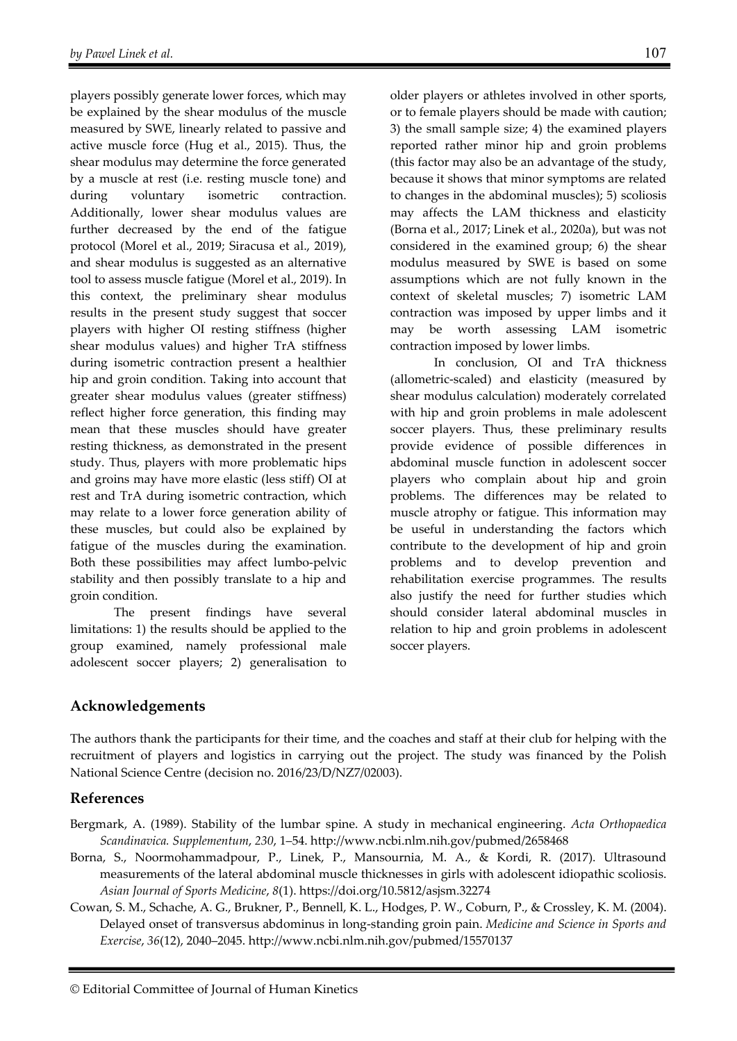players possibly generate lower forces, which may be explained by the shear modulus of the muscle measured by SWE, linearly related to passive and active muscle force (Hug et al., 2015). Thus, the shear modulus may determine the force generated by a muscle at rest (i.e. resting muscle tone) and during voluntary isometric contraction. Additionally, lower shear modulus values are further decreased by the end of the fatigue protocol (Morel et al., 2019; Siracusa et al., 2019), and shear modulus is suggested as an alternative tool to assess muscle fatigue (Morel et al., 2019). In this context, the preliminary shear modulus results in the present study suggest that soccer players with higher OI resting stiffness (higher shear modulus values) and higher TrA stiffness during isometric contraction present a healthier hip and groin condition. Taking into account that greater shear modulus values (greater stiffness) reflect higher force generation, this finding may mean that these muscles should have greater resting thickness, as demonstrated in the present study. Thus, players with more problematic hips and groins may have more elastic (less stiff) OI at rest and TrA during isometric contraction, which may relate to a lower force generation ability of these muscles, but could also be explained by fatigue of the muscles during the examination. Both these possibilities may affect lumbo-pelvic stability and then possibly translate to a hip and groin condition.

The present findings have several limitations: 1) the results should be applied to the group examined, namely professional male adolescent soccer players; 2) generalisation to

older players or athletes involved in other sports, or to female players should be made with caution; 3) the small sample size; 4) the examined players reported rather minor hip and groin problems (this factor may also be an advantage of the study, because it shows that minor symptoms are related to changes in the abdominal muscles); 5) scoliosis may affects the LAM thickness and elasticity (Borna et al., 2017; Linek et al., 2020a), but was not considered in the examined group; 6) the shear modulus measured by SWE is based on some assumptions which are not fully known in the context of skeletal muscles; 7) isometric LAM contraction was imposed by upper limbs and it may be worth assessing LAM isometric contraction imposed by lower limbs.

In conclusion, OI and TrA thickness (allometric-scaled) and elasticity (measured by shear modulus calculation) moderately correlated with hip and groin problems in male adolescent soccer players. Thus, these preliminary results provide evidence of possible differences in abdominal muscle function in adolescent soccer players who complain about hip and groin problems. The differences may be related to muscle atrophy or fatigue. This information may be useful in understanding the factors which contribute to the development of hip and groin problems and to develop prevention and rehabilitation exercise programmes. The results also justify the need for further studies which should consider lateral abdominal muscles in relation to hip and groin problems in adolescent soccer players.

# **Acknowledgements**

The authors thank the participants for their time, and the coaches and staff at their club for helping with the recruitment of players and logistics in carrying out the project. The study was financed by the Polish National Science Centre (decision no. 2016/23/D/NZ7/02003).

# **References**

- Bergmark, A. (1989). Stability of the lumbar spine. A study in mechanical engineering. *Acta Orthopaedica Scandinavica. Supplementum*, *230*, 1–54. http://www.ncbi.nlm.nih.gov/pubmed/2658468
- Borna, S., Noormohammadpour, P., Linek, P., Mansournia, M. A., & Kordi, R. (2017). Ultrasound measurements of the lateral abdominal muscle thicknesses in girls with adolescent idiopathic scoliosis. *Asian Journal of Sports Medicine*, *8*(1). https://doi.org/10.5812/asjsm.32274
- Cowan, S. M., Schache, A. G., Brukner, P., Bennell, K. L., Hodges, P. W., Coburn, P., & Crossley, K. M. (2004). Delayed onset of transversus abdominus in long-standing groin pain. *Medicine and Science in Sports and Exercise*, *36*(12), 2040–2045. http://www.ncbi.nlm.nih.gov/pubmed/15570137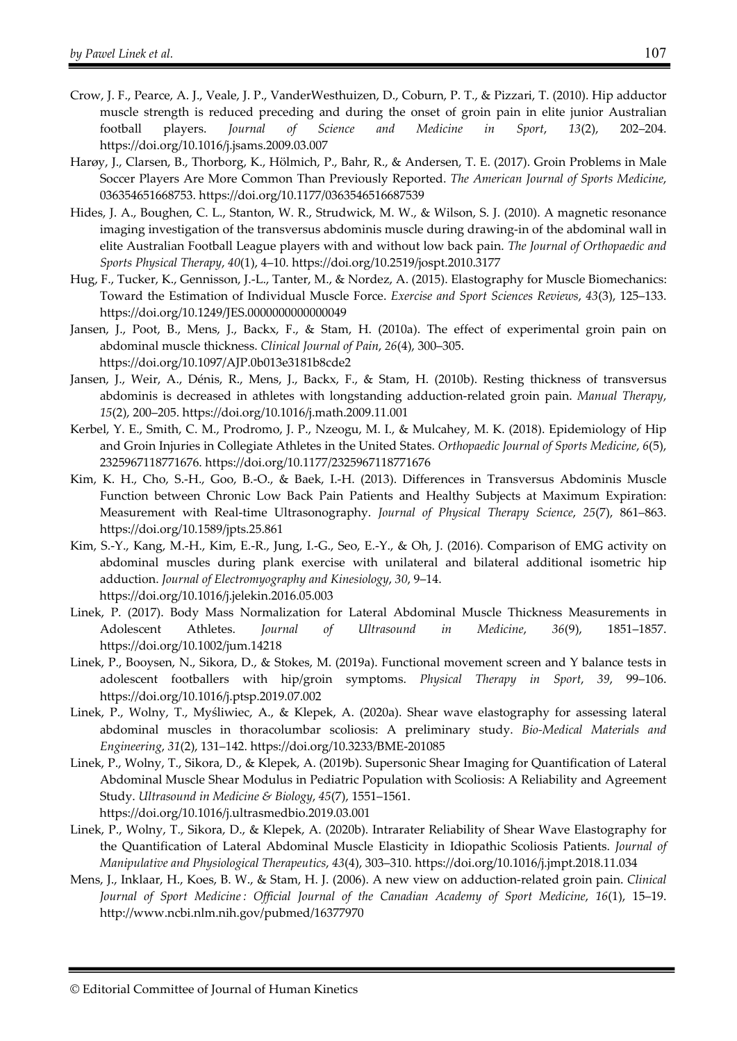- Crow, J. F., Pearce, A. J., Veale, J. P., VanderWesthuizen, D., Coburn, P. T., & Pizzari, T. (2010). Hip adductor muscle strength is reduced preceding and during the onset of groin pain in elite junior Australian football players. *Journal of Science and Medicine in Sport*, *13*(2), 202–204. https://doi.org/10.1016/j.jsams.2009.03.007
- Harøy, J., Clarsen, B., Thorborg, K., Hölmich, P., Bahr, R., & Andersen, T. E. (2017). Groin Problems in Male Soccer Players Are More Common Than Previously Reported. *The American Journal of Sports Medicine*, 036354651668753. https://doi.org/10.1177/0363546516687539
- Hides, J. A., Boughen, C. L., Stanton, W. R., Strudwick, M. W., & Wilson, S. J. (2010). A magnetic resonance imaging investigation of the transversus abdominis muscle during drawing-in of the abdominal wall in elite Australian Football League players with and without low back pain. *The Journal of Orthopaedic and Sports Physical Therapy*, *40*(1), 4–10. https://doi.org/10.2519/jospt.2010.3177
- Hug, F., Tucker, K., Gennisson, J.-L., Tanter, M., & Nordez, A. (2015). Elastography for Muscle Biomechanics: Toward the Estimation of Individual Muscle Force. *Exercise and Sport Sciences Reviews*, *43*(3), 125–133. https://doi.org/10.1249/JES.0000000000000049
- Jansen, J., Poot, B., Mens, J., Backx, F., & Stam, H. (2010a). The effect of experimental groin pain on abdominal muscle thickness. *Clinical Journal of Pain*, *26*(4), 300–305. https://doi.org/10.1097/AJP.0b013e3181b8cde2
- Jansen, J., Weir, A., Dénis, R., Mens, J., Backx, F., & Stam, H. (2010b). Resting thickness of transversus abdominis is decreased in athletes with longstanding adduction-related groin pain. *Manual Therapy*, *15*(2), 200–205. https://doi.org/10.1016/j.math.2009.11.001
- Kerbel, Y. E., Smith, C. M., Prodromo, J. P., Nzeogu, M. I., & Mulcahey, M. K. (2018). Epidemiology of Hip and Groin Injuries in Collegiate Athletes in the United States. *Orthopaedic Journal of Sports Medicine*, *6*(5), 2325967118771676. https://doi.org/10.1177/2325967118771676
- Kim, K. H., Cho, S.-H., Goo, B.-O., & Baek, I.-H. (2013). Differences in Transversus Abdominis Muscle Function between Chronic Low Back Pain Patients and Healthy Subjects at Maximum Expiration: Measurement with Real-time Ultrasonography. *Journal of Physical Therapy Science*, *25*(7), 861–863. https://doi.org/10.1589/jpts.25.861
- Kim, S.-Y., Kang, M.-H., Kim, E.-R., Jung, I.-G., Seo, E.-Y., & Oh, J. (2016). Comparison of EMG activity on abdominal muscles during plank exercise with unilateral and bilateral additional isometric hip adduction. *Journal of Electromyography and Kinesiology*, *30*, 9–14. https://doi.org/10.1016/j.jelekin.2016.05.003
- Linek, P. (2017). Body Mass Normalization for Lateral Abdominal Muscle Thickness Measurements in Adolescent Athletes. *Journal of Ultrasound in Medicine*, *36*(9), 1851–1857. https://doi.org/10.1002/jum.14218
- Linek, P., Booysen, N., Sikora, D., & Stokes, M. (2019a). Functional movement screen and Y balance tests in adolescent footballers with hip/groin symptoms. *Physical Therapy in Sport*, *39*, 99–106. https://doi.org/10.1016/j.ptsp.2019.07.002
- Linek, P., Wolny, T., Myśliwiec, A., & Klepek, A. (2020a). Shear wave elastography for assessing lateral abdominal muscles in thoracolumbar scoliosis: A preliminary study. *Bio-Medical Materials and Engineering*, *31*(2), 131–142. https://doi.org/10.3233/BME-201085
- Linek, P., Wolny, T., Sikora, D., & Klepek, A. (2019b). Supersonic Shear Imaging for Quantification of Lateral Abdominal Muscle Shear Modulus in Pediatric Population with Scoliosis: A Reliability and Agreement Study. *Ultrasound in Medicine & Biology*, *45*(7), 1551–1561. https://doi.org/10.1016/j.ultrasmedbio.2019.03.001
- Linek, P., Wolny, T., Sikora, D., & Klepek, A. (2020b). Intrarater Reliability of Shear Wave Elastography for the Quantification of Lateral Abdominal Muscle Elasticity in Idiopathic Scoliosis Patients. *Journal of Manipulative and Physiological Therapeutics*, *43*(4), 303–310. https://doi.org/10.1016/j.jmpt.2018.11.034
- Mens, J., Inklaar, H., Koes, B. W., & Stam, H. J. (2006). A new view on adduction-related groin pain. *Clinical Journal of Sport Medicine : Official Journal of the Canadian Academy of Sport Medicine*, *16*(1), 15–19. http://www.ncbi.nlm.nih.gov/pubmed/16377970